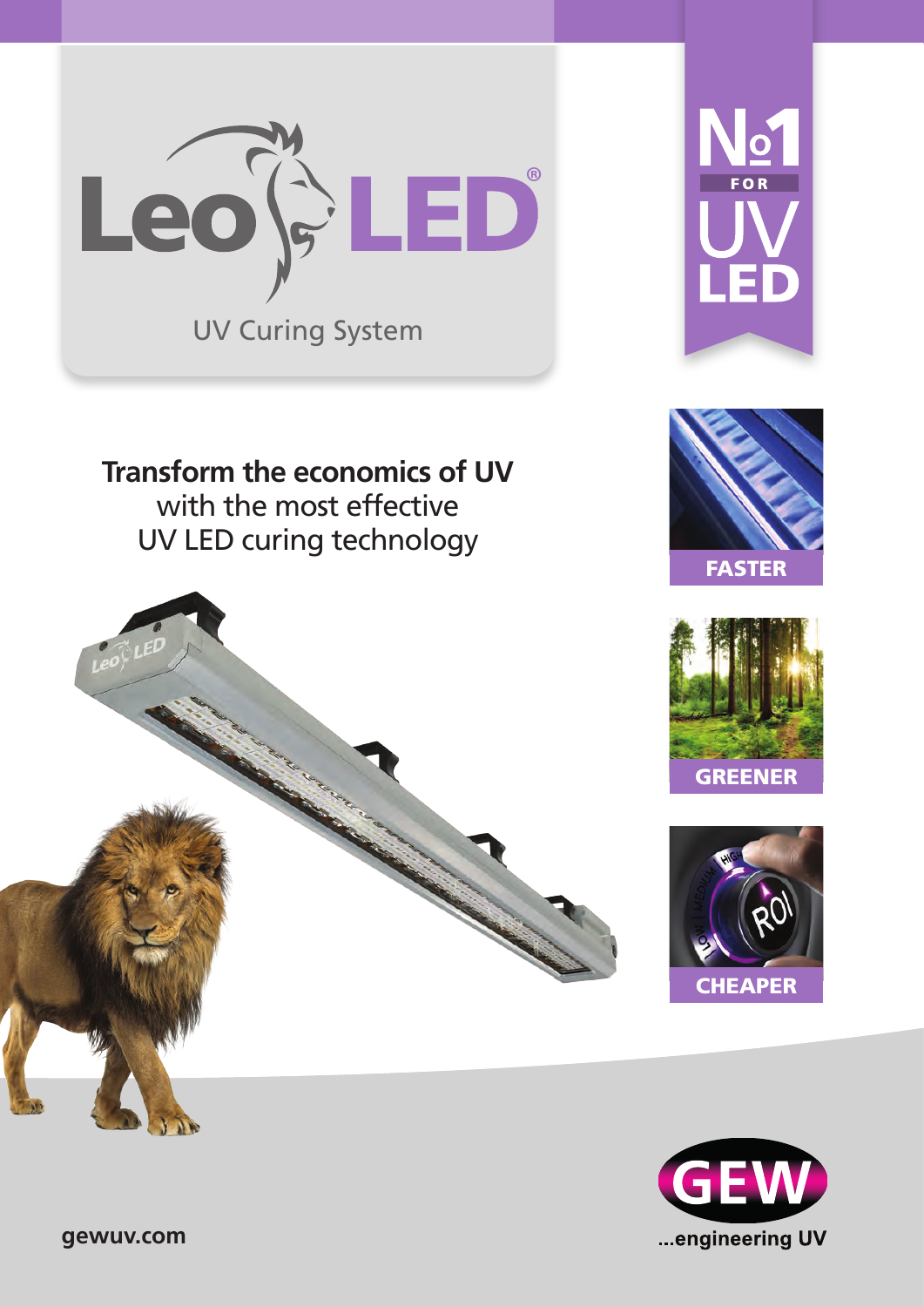UV Curing System Leo<sup>G</sup>ED



**Transform the economics of UV**  with the most effective UV LED curing technology







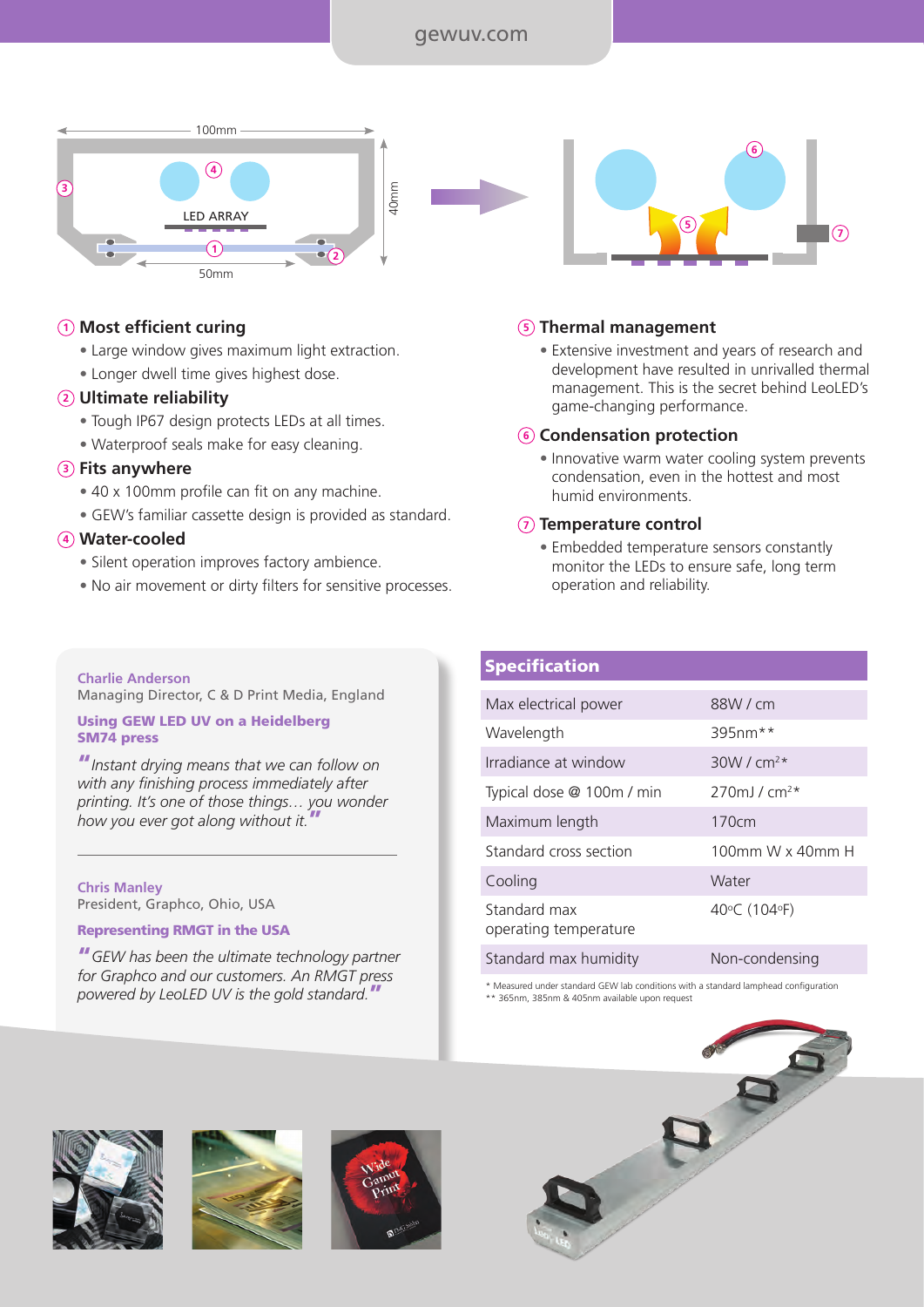# gewuv.com



### **<sup>1</sup> Most efficient curing**

- Large window gives maximum light extraction.
- Longer dwell time gives highest dose.

#### **<sup>2</sup> Ultimate reliability**

- Tough IP67 design protects LEDs at all times.
- Waterproof seals make for easy cleaning.

#### **<sup>3</sup> Fits anywhere**

- 40 x 100mm profile can fit on any machine.
- GEW's familiar cassette design is provided as standard.

# **<sup>4</sup> Water-cooled**

- Silent operation improves factory ambience.
- No air movement or dirty filters for sensitive processes.



#### **<sup>5</sup> Thermal management**

• Extensive investment and years of research and development have resulted in unrivalled thermal management. This is the secret behind LeoLED's game-changing performance.

#### **<sup>6</sup> Condensation protection**

• Innovative warm water cooling system prevents condensation, even in the hottest and most humid environments.

#### **<sup>7</sup> Temperature control**

• Embedded temperature sensors constantly monitor the LEDs to ensure safe, long term operation and reliability.

#### **Charlie Anderson**  Managing Director, C & D Print Media, England

#### Using GEW LED UV on a Heidelberg SM74 press

"*Instant drying means that we can follow on with any finishing process immediately after printing. It's one of those things… you wonder how you ever got along without it.*"

**Chris Manley** President, Graphco, Ohio, USA

#### Representing RMGT in the USA

"*GEW has been the ultimate technology partner for Graphco and our customers. An RMGT press powered by LeoLED UV is the gold standard.*"

# **Specification**

| Max electrical power                  | 88W/cm                       |
|---------------------------------------|------------------------------|
| Wavelength                            | 395nm**                      |
| Irradiance at window                  | $30W / cm^2*$                |
| Typical dose @ 100m / min             | $270$ m J / cm <sup>2*</sup> |
| Maximum length                        | 170cm                        |
| Standard cross section                | 100mm W x 40mm H             |
| Cooling                               | Water                        |
| Standard max<br>operating temperature | 40°C (104°F)                 |
| Standard max humidity                 | Non-condensing               |

\* Measured under standard GEW lab conditions with a standard lamphead configuration \*\* 365nm, 385nm & 405nm available upon request





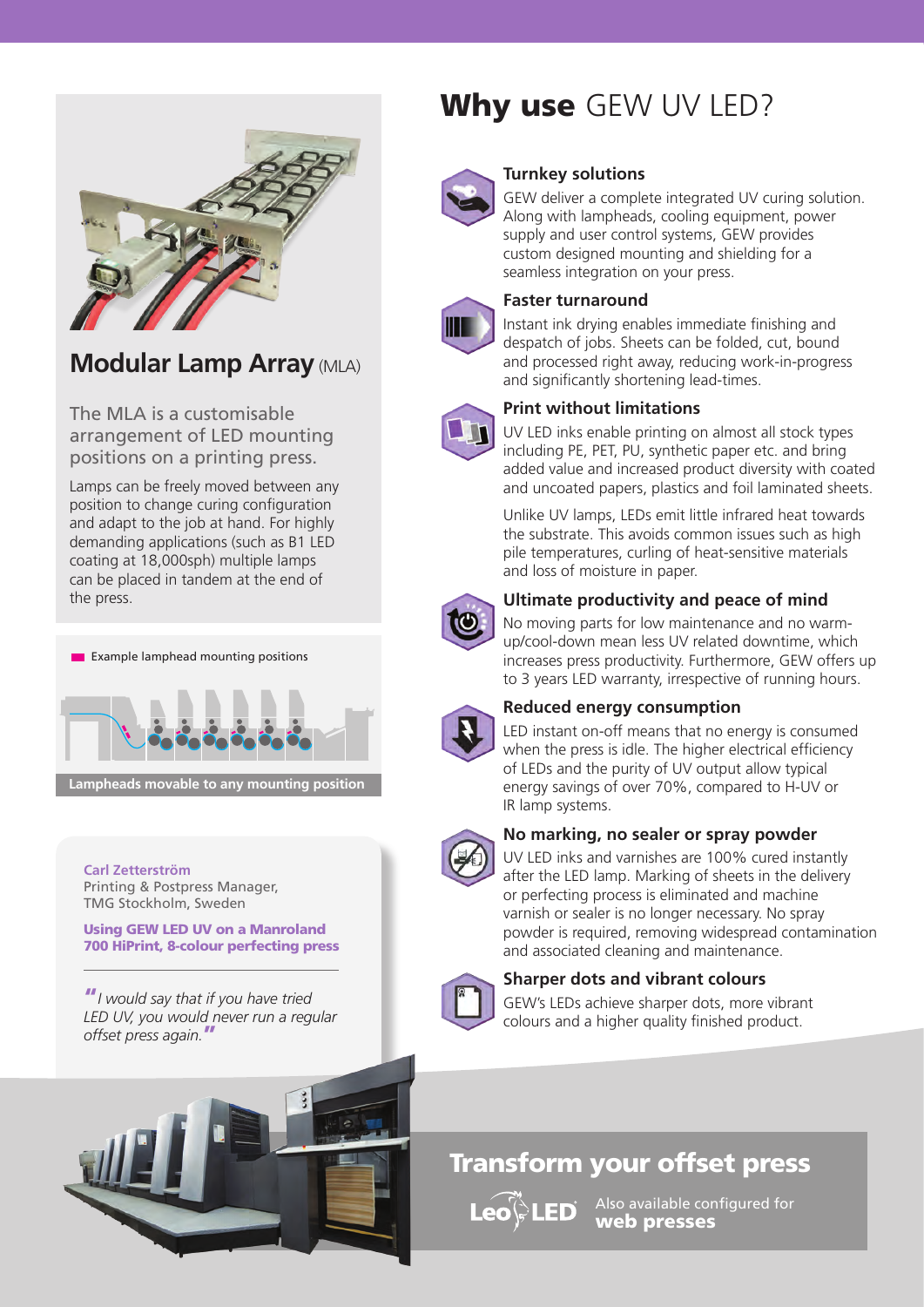

# **Modular Lamp Array** (MLA)

The MLA is a customisable arrangement of LED mounting positions on a printing press.

Lamps can be freely moved between any position to change curing configuration and adapt to the job at hand. For highly demanding applications (such as B1 LED coating at 18,000sph) multiple lamps can be placed in tandem at the end of the press.



**Lampheads movable to any mounting position**

**Carl Zetterström** Printing & Postpress Manager, TMG Stockholm, Sweden

Using GEW LED UV on a Manroland 700 HiPrint, 8-colour perfecting press

"*I would say that if you have tried LED UV, you would never run a regular offset press again.*"



# Why use GEW UV LED?



#### **Turnkey solutions**

GEW deliver a complete integrated UV curing solution. Along with lampheads, cooling equipment, power supply and user control systems, GEW provides custom designed mounting and shielding for a seamless integration on your press.

# **Faster turnaround**



Instant ink drying enables immediate finishing and despatch of jobs. Sheets can be folded, cut, bound and processed right away, reducing work-in-progress and significantly shortening lead-times.

# **Print without limitations**

UV LED inks enable printing on almost all stock types including PE, PET, PU, synthetic paper etc. and bring added value and increased product diversity with coated and uncoated papers, plastics and foil laminated sheets.

Unlike UV lamps, LEDs emit little infrared heat towards the substrate. This avoids common issues such as high pile temperatures, curling of heat-sensitive materials and loss of moisture in paper.



## **Ultimate productivity and peace of mind**

No moving parts for low maintenance and no warmup/cool-down mean less UV related downtime, which increases press productivity. Furthermore, GEW offers up to 3 years LED warranty, irrespective of running hours.



#### **Reduced energy consumption**

LED instant on-off means that no energy is consumed when the press is idle. The higher electrical efficiency of LEDs and the purity of UV output allow typical energy savings of over 70%, compared to H-UV or IR lamp systems.



## **No marking, no sealer or spray powder**

UV LED inks and varnishes are 100% cured instantly after the LED lamp. Marking of sheets in the delivery or perfecting process is eliminated and machine varnish or sealer is no longer necessary. No spray powder is required, removing widespread contamination and associated cleaning and maintenance.



# **Sharper dots and vibrant colours**

GEW's LEDs achieve sharper dots, more vibrant colours and a higher quality finished product.

# Transform your offset press

**Leo<sup>(2</sup>LED** 

Also available configured for web presses